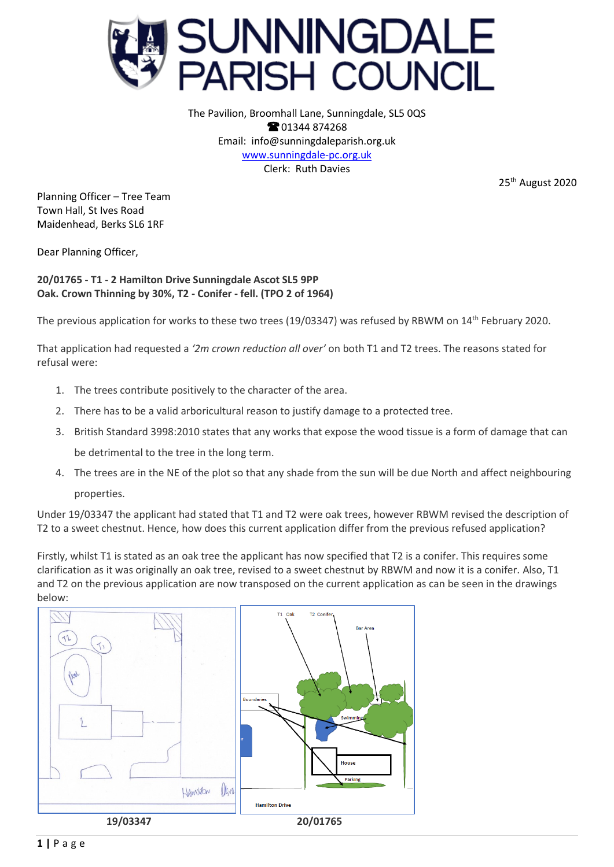

The Pavilion, Broomhall Lane, Sunningdale, SL5 0QS **8**01344 874268 Email: info@sunningdaleparish.org.uk [www.sunningdale-pc.org.uk](http://www.sunningdale-pc.org.uk/) Clerk: Ruth Davies

25<sup>th</sup> August 2020

Planning Officer – Tree Team Town Hall, St Ives Road Maidenhead, Berks SL6 1RF

Dear Planning Officer,

**20/01765 - T1 - 2 Hamilton Drive Sunningdale Ascot SL5 9PP Oak. Crown Thinning by 30%, T2 - Conifer - fell. (TPO 2 of 1964)**

The previous application for works to these two trees (19/03347) was refused by RBWM on 14th February 2020.

That application had requested a *'2m crown reduction all over'* on both T1 and T2 trees. The reasons stated for refusal were:

- 1. The trees contribute positively to the character of the area.
- 2. There has to be a valid arboricultural reason to justify damage to a protected tree.
- 3. British Standard 3998:2010 states that any works that expose the wood tissue is a form of damage that can be detrimental to the tree in the long term.
- 4. The trees are in the NE of the plot so that any shade from the sun will be due North and affect neighbouring properties.

Under 19/03347 the applicant had stated that T1 and T2 were oak trees, however RBWM revised the description of T2 to a sweet chestnut. Hence, how does this current application differ from the previous refused application?

Firstly, whilst T1 is stated as an oak tree the applicant has now specified that T2 is a conifer. This requires some clarification as it was originally an oak tree, revised to a sweet chestnut by RBWM and now it is a conifer. Also, T1 and T2 on the previous application are now transposed on the current application as can be seen in the drawings below: